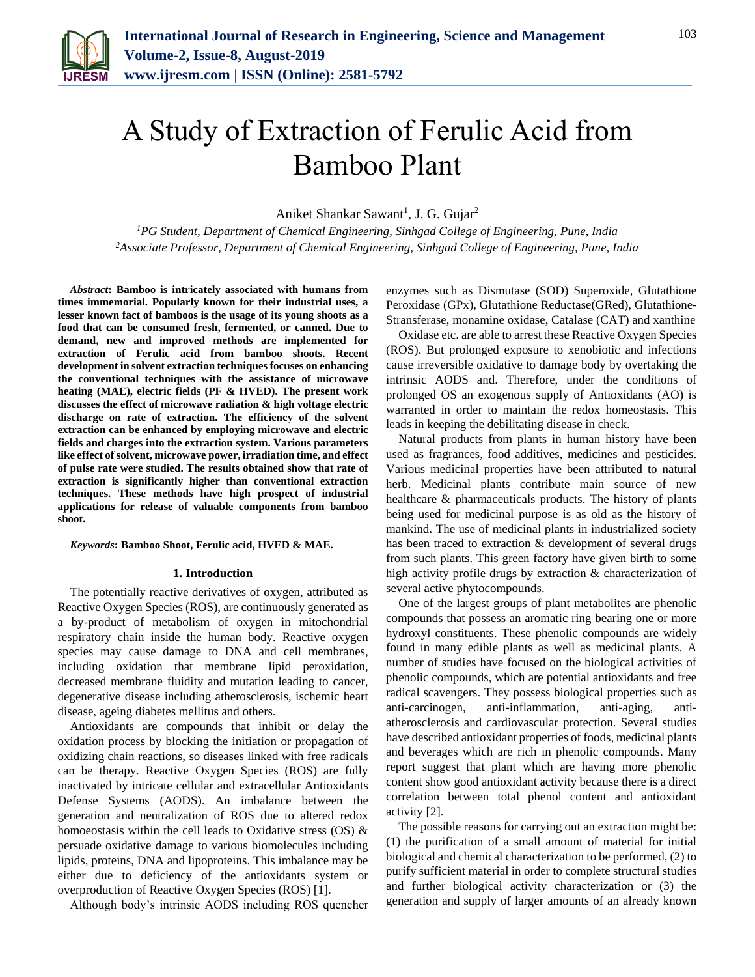

# A Study of Extraction of Ferulic Acid from Bamboo Plant

Aniket Shankar Sawant<sup>1</sup>, J. G. Gujar<sup>2</sup>

*<sup>1</sup>PG Student, Department of Chemical Engineering, Sinhgad College of Engineering, Pune, India 2Associate Professor, Department of Chemical Engineering, Sinhgad College of Engineering, Pune, India*

*Abstract***: Bamboo is intricately associated with humans from times immemorial. Popularly known for their industrial uses, a lesser known fact of bamboos is the usage of its young shoots as a food that can be consumed fresh, fermented, or canned. Due to demand, new and improved methods are implemented for extraction of Ferulic acid from bamboo shoots. Recent development in solvent extraction techniques focuses on enhancing the conventional techniques with the assistance of microwave heating (MAE), electric fields (PF & HVED). The present work discusses the effect of microwave radiation & high voltage electric discharge on rate of extraction. The efficiency of the solvent extraction can be enhanced by employing microwave and electric fields and charges into the extraction system. Various parameters like effect of solvent, microwave power, irradiation time, and effect of pulse rate were studied. The results obtained show that rate of extraction is significantly higher than conventional extraction techniques. These methods have high prospect of industrial applications for release of valuable components from bamboo shoot.**

#### *Keywords***: Bamboo Shoot, Ferulic acid, HVED & MAE.**

#### **1. Introduction**

The potentially reactive derivatives of oxygen, attributed as Reactive Oxygen Species (ROS), are continuously generated as a by-product of metabolism of oxygen in mitochondrial respiratory chain inside the human body. Reactive oxygen species may cause damage to DNA and cell membranes, including oxidation that membrane lipid peroxidation, decreased membrane fluidity and mutation leading to cancer, degenerative disease including atherosclerosis, ischemic heart disease, ageing diabetes mellitus and others.

Antioxidants are compounds that inhibit or delay the oxidation process by blocking the initiation or propagation of oxidizing chain reactions, so diseases linked with free radicals can be therapy. Reactive Oxygen Species (ROS) are fully inactivated by intricate cellular and extracellular Antioxidants Defense Systems (AODS). An imbalance between the generation and neutralization of ROS due to altered redox homoeostasis within the cell leads to Oxidative stress  $OS$ ) & persuade oxidative damage to various biomolecules including lipids, proteins, DNA and lipoproteins. This imbalance may be either due to deficiency of the antioxidants system or overproduction of Reactive Oxygen Species (ROS) [1].

Although body's intrinsic AODS including ROS quencher

enzymes such as Dismutase (SOD) Superoxide, Glutathione Peroxidase (GPx), Glutathione Reductase(GRed), Glutathione-Stransferase, monamine oxidase, Catalase (CAT) and xanthine

Oxidase etc. are able to arrest these Reactive Oxygen Species (ROS). But prolonged exposure to xenobiotic and infections cause irreversible oxidative to damage body by overtaking the intrinsic AODS and. Therefore, under the conditions of prolonged OS an exogenous supply of Antioxidants (AO) is warranted in order to maintain the redox homeostasis. This leads in keeping the debilitating disease in check.

Natural products from plants in human history have been used as fragrances, food additives, medicines and pesticides. Various medicinal properties have been attributed to natural herb. Medicinal plants contribute main source of new healthcare & pharmaceuticals products. The history of plants being used for medicinal purpose is as old as the history of mankind. The use of medicinal plants in industrialized society has been traced to extraction & development of several drugs from such plants. This green factory have given birth to some high activity profile drugs by extraction & characterization of several active phytocompounds.

One of the largest groups of plant metabolites are phenolic compounds that possess an aromatic ring bearing one or more hydroxyl constituents. These phenolic compounds are widely found in many edible plants as well as medicinal plants. A number of studies have focused on the biological activities of phenolic compounds, which are potential antioxidants and free radical scavengers. They possess biological properties such as anti-carcinogen, anti-inflammation, anti-aging, antiatherosclerosis and cardiovascular protection. Several studies have described antioxidant properties of foods, medicinal plants and beverages which are rich in phenolic compounds. Many report suggest that plant which are having more phenolic content show good antioxidant activity because there is a direct correlation between total phenol content and antioxidant activity [2].

The possible reasons for carrying out an extraction might be: (1) the purification of a small amount of material for initial biological and chemical characterization to be performed, (2) to purify sufficient material in order to complete structural studies and further biological activity characterization or (3) the generation and supply of larger amounts of an already known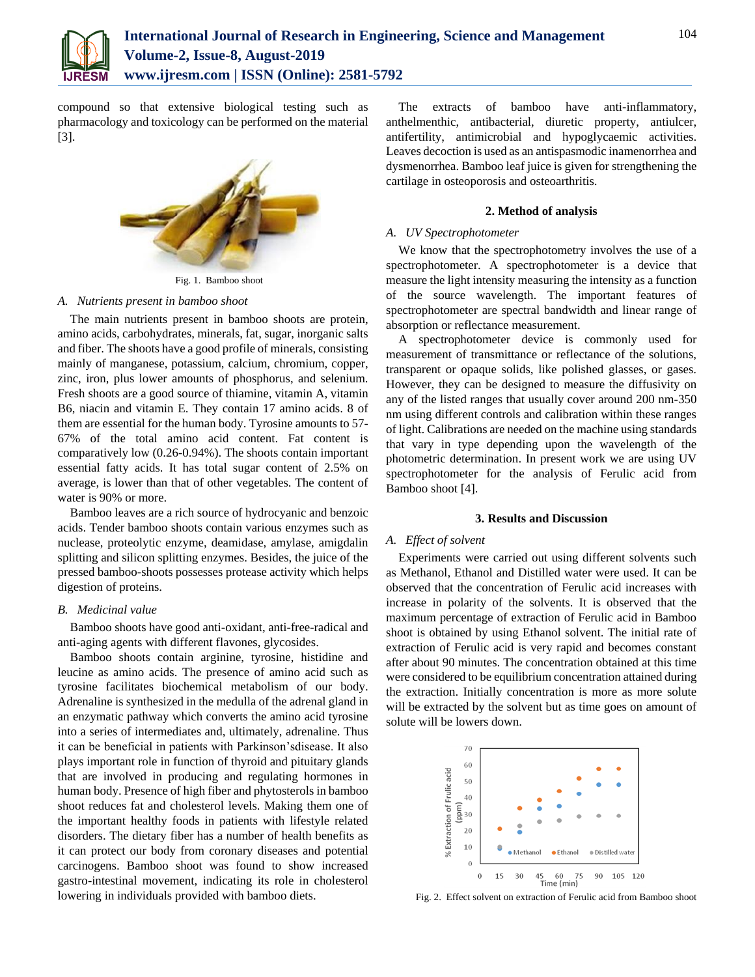

compound so that extensive biological testing such as pharmacology and toxicology can be performed on the material [3].



Fig. 1. Bamboo shoot

#### *A. Nutrients present in bamboo shoot*

The main nutrients present in bamboo shoots are protein, amino acids, carbohydrates, minerals, fat, sugar, inorganic salts and fiber. The shoots have a good profile of minerals, consisting mainly of manganese, potassium, calcium, chromium, copper, zinc, iron, plus lower amounts of phosphorus, and selenium. Fresh shoots are a good source of thiamine, vitamin A, vitamin B6, niacin and vitamin E. They contain 17 amino acids. 8 of them are essential for the human body. Tyrosine amounts to 57- 67% of the total amino acid content. Fat content is comparatively low (0.26-0.94%). The shoots contain important essential fatty acids. It has total sugar content of 2.5% on average, is lower than that of other vegetables. The content of water is 90% or more.

Bamboo leaves are a rich source of hydrocyanic and benzoic acids. Tender bamboo shoots contain various enzymes such as nuclease, proteolytic enzyme, deamidase, amylase, amigdalin splitting and silicon splitting enzymes. Besides, the juice of the pressed bamboo-shoots possesses protease activity which helps digestion of proteins.

## *B. Medicinal value*

Bamboo shoots have good anti-oxidant, anti-free-radical and anti-aging agents with different flavones, glycosides.

Bamboo shoots contain arginine, tyrosine, histidine and leucine as amino acids. The presence of amino acid such as tyrosine facilitates biochemical metabolism of our body. Adrenaline is synthesized in the medulla of the adrenal gland in an enzymatic pathway which converts the amino acid tyrosine into a series of intermediates and, ultimately, adrenaline. Thus it can be beneficial in patients with Parkinson'sdisease. It also plays important role in function of thyroid and pituitary glands that are involved in producing and regulating hormones in human body. Presence of high fiber and phytosterols in bamboo shoot reduces fat and cholesterol levels. Making them one of the important healthy foods in patients with lifestyle related disorders. The dietary fiber has a number of health benefits as it can protect our body from coronary diseases and potential carcinogens. Bamboo shoot was found to show increased gastro-intestinal movement, indicating its role in cholesterol lowering in individuals provided with bamboo diets.

The extracts of bamboo have anti-inflammatory, anthelmenthic, antibacterial, diuretic property, antiulcer, antifertility, antimicrobial and hypoglycaemic activities. Leaves decoction is used as an antispasmodic inamenorrhea and dysmenorrhea. Bamboo leaf juice is given for strengthening the cartilage in osteoporosis and osteoarthritis.

#### **2. Method of analysis**

### *A. UV Spectrophotometer*

We know that the spectrophotometry involves the use of a spectrophotometer. A spectrophotometer is a device that measure the light intensity measuring the intensity as a function of the source wavelength. The important features of spectrophotometer are spectral bandwidth and linear range of absorption or reflectance measurement.

A spectrophotometer device is commonly used for measurement of transmittance or reflectance of the solutions, transparent or opaque solids, like polished glasses, or gases. However, they can be designed to measure the diffusivity on any of the listed ranges that usually cover around 200 nm-350 nm using different controls and calibration within these ranges of light. Calibrations are needed on the machine using standards that vary in type depending upon the wavelength of the photometric determination. In present work we are using UV spectrophotometer for the analysis of Ferulic acid from Bamboo shoot [4].

#### **3. Results and Discussion**

#### *A. Effect of solvent*

Experiments were carried out using different solvents such as Methanol, Ethanol and Distilled water were used. It can be observed that the concentration of Ferulic acid increases with increase in polarity of the solvents. It is observed that the maximum percentage of extraction of Ferulic acid in Bamboo shoot is obtained by using Ethanol solvent. The initial rate of extraction of Ferulic acid is very rapid and becomes constant after about 90 minutes. The concentration obtained at this time were considered to be equilibrium concentration attained during the extraction. Initially concentration is more as more solute will be extracted by the solvent but as time goes on amount of solute will be lowers down.



Fig. 2. Effect solvent on extraction of Ferulic acid from Bamboo shoot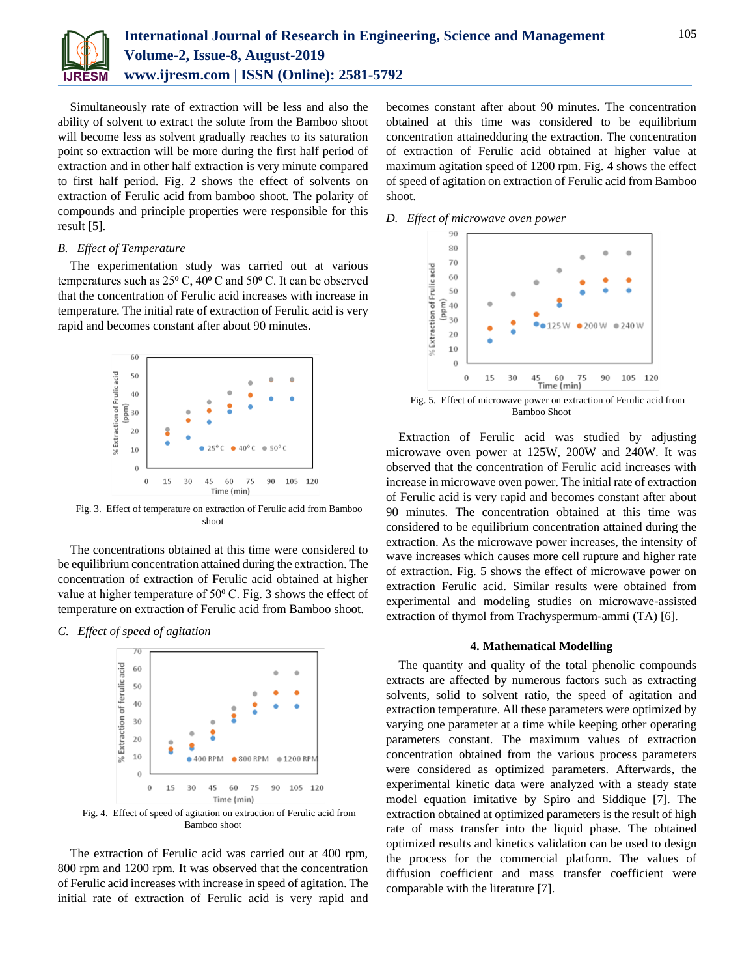

Simultaneously rate of extraction will be less and also the ability of solvent to extract the solute from the Bamboo shoot will become less as solvent gradually reaches to its saturation point so extraction will be more during the first half period of extraction and in other half extraction is very minute compared to first half period. Fig. 2 shows the effect of solvents on extraction of Ferulic acid from bamboo shoot. The polarity of compounds and principle properties were responsible for this result [5].

#### *B. Effect of Temperature*

The experimentation study was carried out at various temperatures such as  $25^{\circ}$  C,  $40^{\circ}$  C and  $50^{\circ}$  C. It can be observed that the concentration of Ferulic acid increases with increase in temperature. The initial rate of extraction of Ferulic acid is very rapid and becomes constant after about 90 minutes.



Fig. 3. Effect of temperature on extraction of Ferulic acid from Bamboo shoot

The concentrations obtained at this time were considered to be equilibrium concentration attained during the extraction. The concentration of extraction of Ferulic acid obtained at higher value at higher temperature of  $50^{\circ}$  C. Fig. 3 shows the effect of temperature on extraction of Ferulic acid from Bamboo shoot.

*C. Effect of speed of agitation*



Fig. 4. Effect of speed of agitation on extraction of Ferulic acid from Bamboo shoot

The extraction of Ferulic acid was carried out at 400 rpm, 800 rpm and 1200 rpm. It was observed that the concentration of Ferulic acid increases with increase in speed of agitation. The initial rate of extraction of Ferulic acid is very rapid and becomes constant after about 90 minutes. The concentration obtained at this time was considered to be equilibrium concentration attainedduring the extraction. The concentration of extraction of Ferulic acid obtained at higher value at maximum agitation speed of 1200 rpm. Fig. 4 shows the effect of speed of agitation on extraction of Ferulic acid from Bamboo shoot.

*D. Effect of microwave oven power*



Fig. 5. Effect of microwave power on extraction of Ferulic acid from Bamboo Shoot

Extraction of Ferulic acid was studied by adjusting microwave oven power at 125W, 200W and 240W. It was observed that the concentration of Ferulic acid increases with increase in microwave oven power. The initial rate of extraction of Ferulic acid is very rapid and becomes constant after about 90 minutes. The concentration obtained at this time was considered to be equilibrium concentration attained during the extraction. As the microwave power increases, the intensity of wave increases which causes more cell rupture and higher rate of extraction. Fig. 5 shows the effect of microwave power on extraction Ferulic acid. Similar results were obtained from experimental and modeling studies on microwave-assisted extraction of thymol from Trachyspermum-ammi (TA) [6].

#### **4. Mathematical Modelling**

The quantity and quality of the total phenolic compounds extracts are affected by numerous factors such as extracting solvents, solid to solvent ratio, the speed of agitation and extraction temperature. All these parameters were optimized by varying one parameter at a time while keeping other operating parameters constant. The maximum values of extraction concentration obtained from the various process parameters were considered as optimized parameters. Afterwards, the experimental kinetic data were analyzed with a steady state model equation imitative by Spiro and Siddique [7]. The extraction obtained at optimized parameters is the result of high rate of mass transfer into the liquid phase. The obtained optimized results and kinetics validation can be used to design the process for the commercial platform. The values of diffusion coefficient and mass transfer coefficient were comparable with the literature [7].